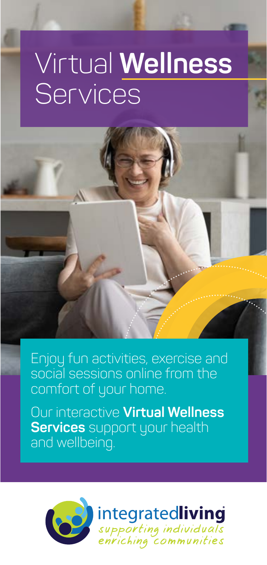# Virtual **Wellness Services**

Enjoy fun activities, exercise and social sessions online from the comfort of your home.

Our interactive **Virtual Wellness Services** support your health and wellbeing.

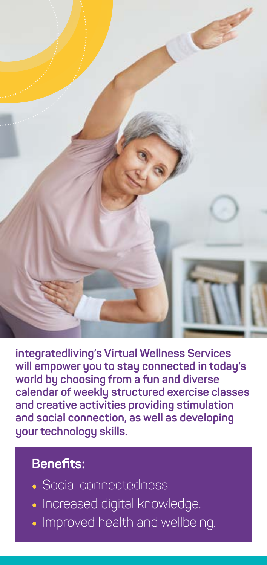

**integratedliving's Virtual Wellness Services will empower you to stay connected in today's world by choosing from a fun and diverse calendar of weekly structured exercise classes and creative activities providing stimulation and social connection, as well as developing your technology skills.**

#### **Benefits:**

- Social connectedness.
- Increased digital knowledge.
- Improved health and wellbeing.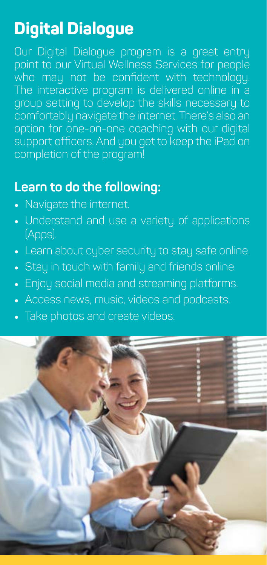# **Digital Dialogue**

Our Digital Dialogue program is a great entry point to our Virtual Wellness Services for people who may not be confident with technology. The interactive program is delivered online in a group setting to develop the skills necessary to comfortably navigate the internet. There's also an option for one-on-one coaching with our digital support officers. And you get to keep the iPad on completion of the program!

#### **Learn to do the following:**

- Navigate the internet.
- Understand and use a variety of applications (Apps).
- Learn about cyber security to stay safe online.
- Stay in touch with family and friends online.
- Enjoy social media and streaming platforms.
- Access news, music, videos and podcasts.
- Take photos and create videos.

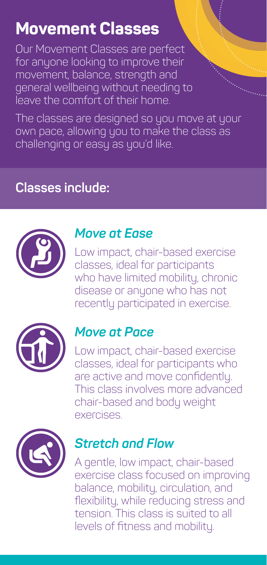### **Movement Classes**

Our Movement Classes are perfect for anyone looking to improve their movement, balance, strength and general wellbeing without needing to leave the comfort of their home.

The classes are designed so you move at your own pace, allowing you to make the class as challenging or easy as you'd like.

### **Classes include:**



#### *Move at Ease*

Low impact, chair-based exercise classes, ideal for participants who have limited mobility, chronic disease or anyone who has not recently participated in exercise.



#### *Move at Pace*

Low impact, chair-based exercise classes, ideal for participants who are active and move confidently. This class involves more advanced chair-based and body weight exercises.



#### *Stretch and Flow*

A gentle, low impact, chair-based exercise class focused on improving balance, mobility, circulation, and flexibility, while reducing stress and tension. This class is suited to all levels of fitness and mobility.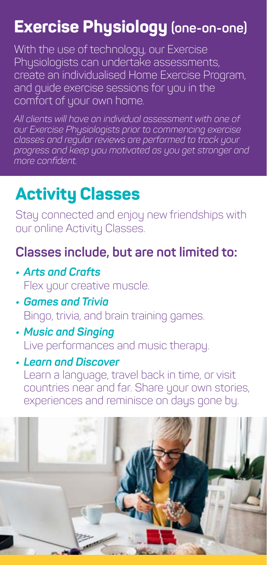# **Exercise Physiology (one-on-one)**

With the use of technology, our Exercise Physiologists can undertake assessments, create an individualised Home Exercise Program, and guide exercise sessions for you in the comfort of your own home.

*All clients will have an individual assessment with one of our Exercise Physiologists prior to commencing exercise classes and regular reviews are performed to track your progress and keep you motivated as you get stronger and more confident.* 

### **Activity Classes**

Stay connected and enjoy new friendships with our online Activity Classes.

### **Classes include, but are not limited to:**

- *• Arts and Crafts* Flex your creative muscle.
- *• Games and Trivia* Bingo, trivia, and brain training games.
- *• Music and Singing* Live performances and music therapy.
- *• Learn and Discover* Learn a language, travel back in time, or visit countries near and far. Share your own stories, experiences and reminisce on days gone by.